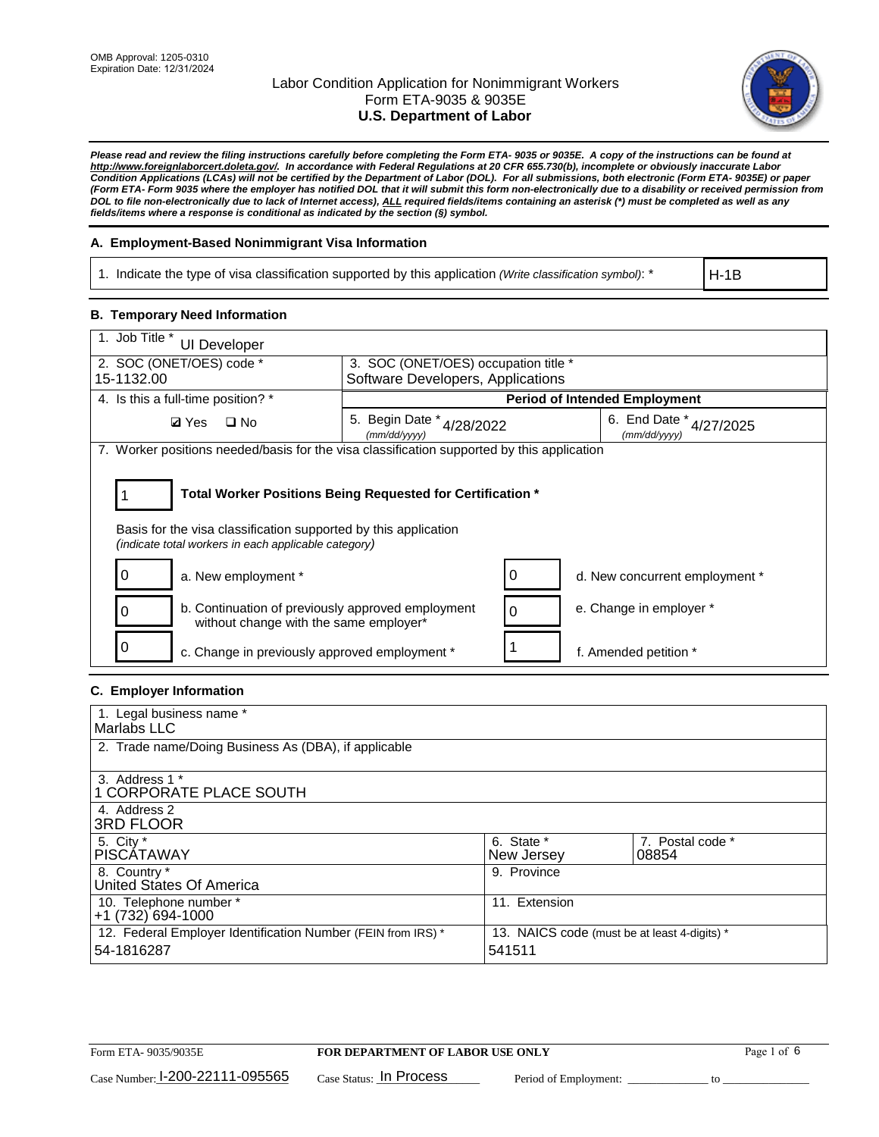

*Please read and review the filing instructions carefully before completing the Form ETA- 9035 or 9035E. A copy of the instructions can be found at http://www.foreignlaborcert.doleta.gov/. In accordance with Federal Regulations at 20 CFR 655.730(b), incomplete or obviously inaccurate Labor Condition Applications (LCAs) will not be certified by the Department of Labor (DOL). For all submissions, both electronic (Form ETA- 9035E) or paper (Form ETA- Form 9035 where the employer has notified DOL that it will submit this form non-electronically due to a disability or received permission from DOL to file non-electronically due to lack of Internet access), ALL required fields/items containing an asterisk (\*) must be completed as well as any fields/items where a response is conditional as indicated by the section (§) symbol.* 

### **A. Employment-Based Nonimmigrant Visa Information**

1. Indicate the type of visa classification supported by this application *(Write classification symbol)*: \*

H-1B

### **B. Temporary Need Information**

| 1. Job Title *<br><b>UI Developer</b>                                                                                                                                                 |                                                                           |          |                                            |  |  |  |
|---------------------------------------------------------------------------------------------------------------------------------------------------------------------------------------|---------------------------------------------------------------------------|----------|--------------------------------------------|--|--|--|
| 2. SOC (ONET/OES) code *<br>15-1132.00                                                                                                                                                | 3. SOC (ONET/OES) occupation title *<br>Software Developers, Applications |          |                                            |  |  |  |
|                                                                                                                                                                                       |                                                                           |          |                                            |  |  |  |
| 4. Is this a full-time position? *                                                                                                                                                    |                                                                           |          | <b>Period of Intended Employment</b>       |  |  |  |
| <b>Ø</b> Yes<br>$\Box$ No                                                                                                                                                             | 5. Begin Date * 4/28/2022<br>(mm/dd/yyyy)                                 |          | 6. End Date *<br>4/27/2025<br>(mm/dd/yyyy) |  |  |  |
| 7. Worker positions needed/basis for the visa classification supported by this application                                                                                            |                                                                           |          |                                            |  |  |  |
| Total Worker Positions Being Requested for Certification *<br>Basis for the visa classification supported by this application<br>(indicate total workers in each applicable category) |                                                                           |          |                                            |  |  |  |
| a. New employment *                                                                                                                                                                   |                                                                           |          | d. New concurrent employment *             |  |  |  |
| b. Continuation of previously approved employment<br>0<br>without change with the same employer*                                                                                      |                                                                           | $\Omega$ | e. Change in employer *                    |  |  |  |
| 0<br>c. Change in previously approved employment *                                                                                                                                    |                                                                           |          | f. Amended petition *                      |  |  |  |

### **C. Employer Information**

| 1. Legal business name *                                                   |                                                        |                           |
|----------------------------------------------------------------------------|--------------------------------------------------------|---------------------------|
| Marlabs LLC                                                                |                                                        |                           |
| 2. Trade name/Doing Business As (DBA), if applicable                       |                                                        |                           |
| 3. Address 1 *<br>1 CORPORATE PLACE SOUTH<br>4. Address 2                  |                                                        |                           |
| <b>3RD FLOOR</b>                                                           |                                                        |                           |
| 5. City *<br><b>PISCÁTAWAY</b>                                             | 6. State *<br>New Jersey                               | 7. Postal code *<br>08854 |
| 8. Country *<br>United States Of America                                   | 9. Province                                            |                           |
| 10. Telephone number *<br>$+1(732)694-1000$                                | 11. Extension                                          |                           |
| 12. Federal Employer Identification Number (FEIN from IRS) *<br>54-1816287 | 13. NAICS code (must be at least 4-digits) *<br>541511 |                           |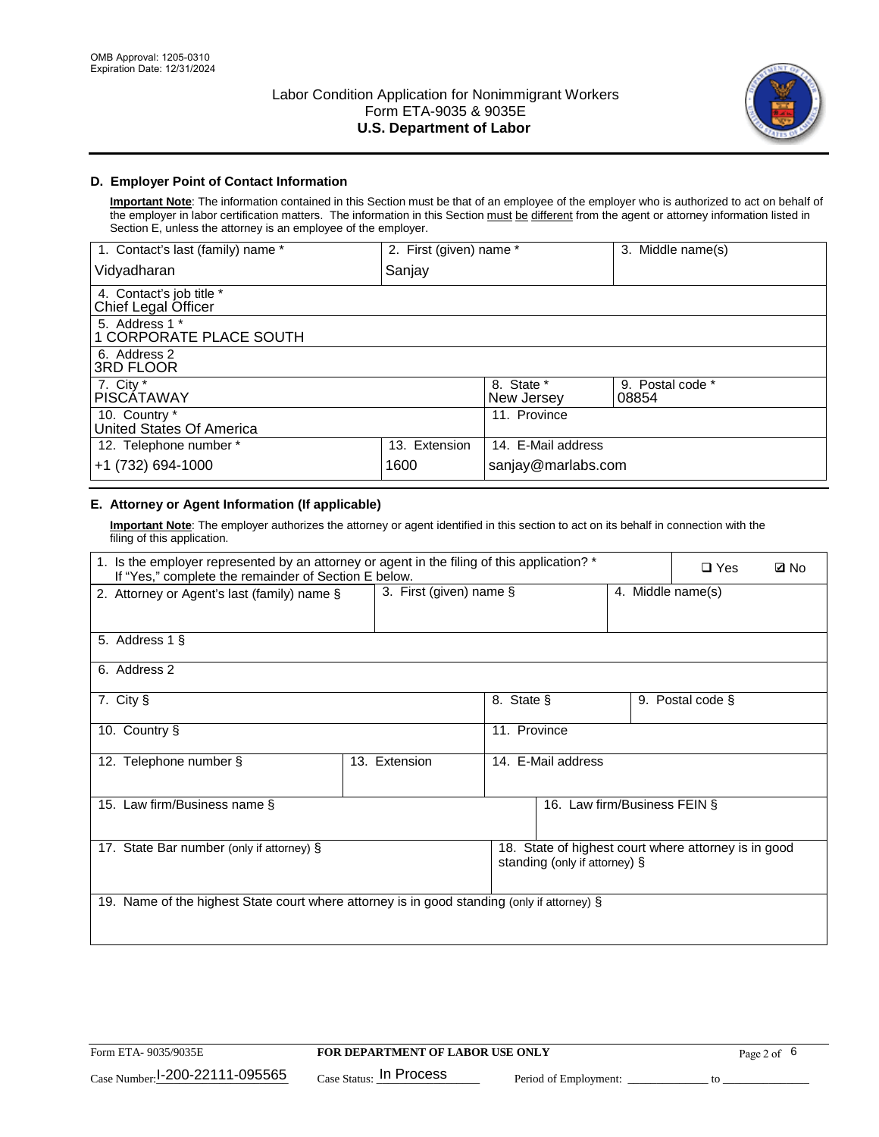

### **D. Employer Point of Contact Information**

**Important Note**: The information contained in this Section must be that of an employee of the employer who is authorized to act on behalf of the employer in labor certification matters. The information in this Section must be different from the agent or attorney information listed in Section E, unless the attorney is an employee of the employer.

| 1. Contact's last (family) name *               | 2. First (given) name * |                          | 3. Middle name(s)         |
|-------------------------------------------------|-------------------------|--------------------------|---------------------------|
| Vidyadharan                                     | Sanjay                  |                          |                           |
| 4. Contact's job title *<br>Chief Legal Officer |                         |                          |                           |
| 5. Address 1 *<br>1 CORPORATE PLACE SOUTH       |                         |                          |                           |
| 6. Address 2<br><b>3RD FLOOR</b>                |                         |                          |                           |
| 7. City *<br><b>PISCÁTAWAY</b>                  |                         | 8. State *<br>New Jersey | 9. Postal code *<br>08854 |
| 10. Country *<br>United States Of America       |                         | 11. Province             |                           |
| 12. Telephone number *                          | 13. Extension           | 14. E-Mail address       |                           |
| +1 (732) 694-1000                               | 1600                    | sanjay@marlabs.com       |                           |

## **E. Attorney or Agent Information (If applicable)**

**Important Note**: The employer authorizes the attorney or agent identified in this section to act on its behalf in connection with the filing of this application.

| 1. Is the employer represented by an attorney or agent in the filing of this application? *<br>If "Yes," complete the remainder of Section E below. |                         | $\square$ Yes | <b>ØNo</b>                    |                   |                                                      |  |
|-----------------------------------------------------------------------------------------------------------------------------------------------------|-------------------------|---------------|-------------------------------|-------------------|------------------------------------------------------|--|
| 2. Attorney or Agent's last (family) name §                                                                                                         | 3. First (given) name § |               |                               | 4. Middle name(s) |                                                      |  |
| 5. Address 1 §                                                                                                                                      |                         |               |                               |                   |                                                      |  |
| 6. Address 2                                                                                                                                        |                         |               |                               |                   |                                                      |  |
| 7. City §                                                                                                                                           |                         | 8. State §    |                               |                   | 9. Postal code §                                     |  |
| 10. Country §                                                                                                                                       |                         | 11. Province  |                               |                   |                                                      |  |
| 12. Telephone number §                                                                                                                              | 13. Extension           |               | 14. E-Mail address            |                   |                                                      |  |
| 15. Law firm/Business name §                                                                                                                        |                         |               | 16. Law firm/Business FEIN §  |                   |                                                      |  |
| 17. State Bar number (only if attorney) §                                                                                                           |                         |               | standing (only if attorney) § |                   | 18. State of highest court where attorney is in good |  |
| 19. Name of the highest State court where attorney is in good standing (only if attorney) §                                                         |                         |               |                               |                   |                                                      |  |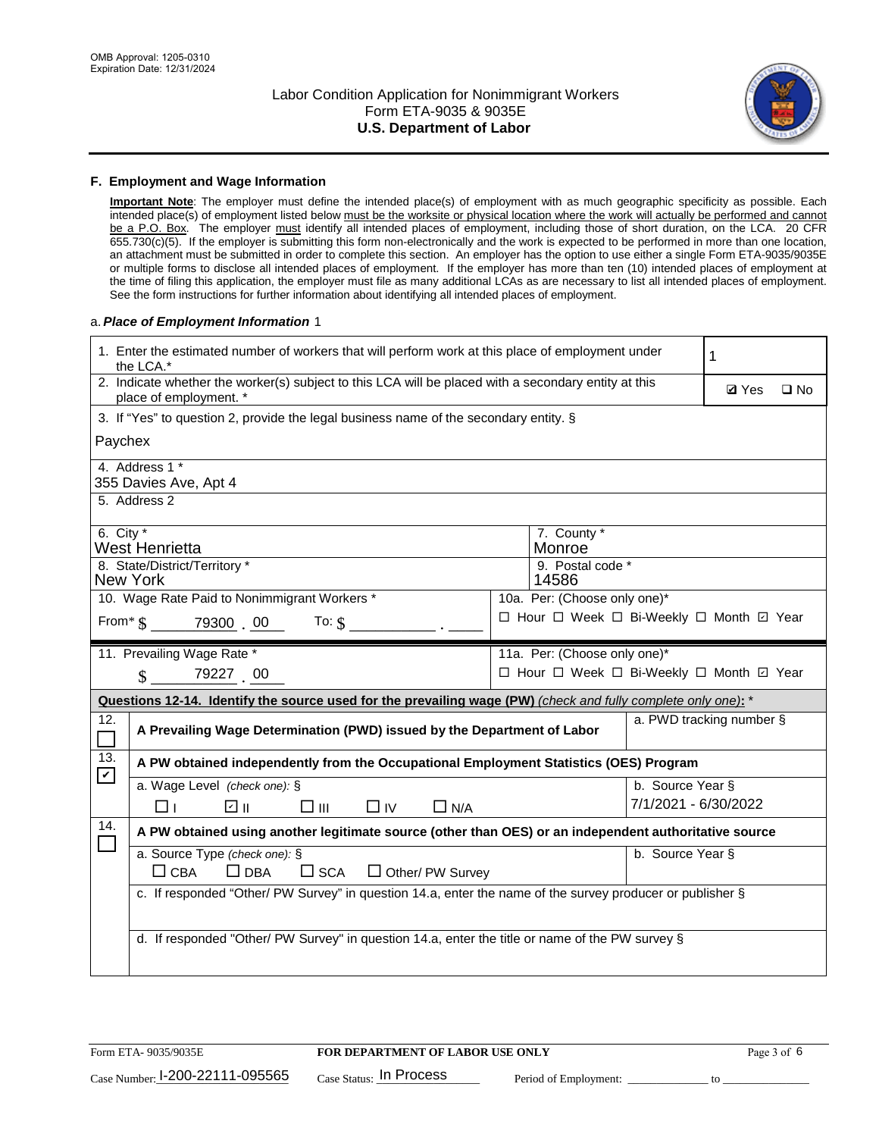

#### **F. Employment and Wage Information**

**Important Note**: The employer must define the intended place(s) of employment with as much geographic specificity as possible. Each intended place(s) of employment listed below must be the worksite or physical location where the work will actually be performed and cannot be a P.O. Box. The employer must identify all intended places of employment, including those of short duration, on the LCA. 20 CFR 655.730(c)(5). If the employer is submitting this form non-electronically and the work is expected to be performed in more than one location, an attachment must be submitted in order to complete this section. An employer has the option to use either a single Form ETA-9035/9035E or multiple forms to disclose all intended places of employment. If the employer has more than ten (10) intended places of employment at the time of filing this application, the employer must file as many additional LCAs as are necessary to list all intended places of employment. See the form instructions for further information about identifying all intended places of employment.

#### a.*Place of Employment Information* 1

|                            | 1. Enter the estimated number of workers that will perform work at this place of employment under<br>the LCA.*                 |  |                                          |                      |                          |              |
|----------------------------|--------------------------------------------------------------------------------------------------------------------------------|--|------------------------------------------|----------------------|--------------------------|--------------|
|                            | 2. Indicate whether the worker(s) subject to this LCA will be placed with a secondary entity at this<br>place of employment. * |  |                                          |                      | <b>Ø</b> Yes             | $\square$ No |
|                            | 3. If "Yes" to question 2, provide the legal business name of the secondary entity. §                                          |  |                                          |                      |                          |              |
| Paychex                    |                                                                                                                                |  |                                          |                      |                          |              |
|                            | 4. Address 1 *<br>355 Davies Ave, Apt 4                                                                                        |  |                                          |                      |                          |              |
|                            | 5. Address 2                                                                                                                   |  |                                          |                      |                          |              |
|                            | 6. City $*$<br>7. County *<br>West Henrietta<br>Monroe<br>8. State/District/Territory *<br>9. Postal code *                    |  |                                          |                      |                          |              |
|                            | <b>New York</b>                                                                                                                |  | 14586                                    |                      |                          |              |
|                            | 10. Wage Rate Paid to Nonimmigrant Workers *                                                                                   |  | 10a. Per: (Choose only one)*             |                      |                          |              |
|                            | □ Hour □ Week □ Bi-Weekly □ Month □ Year<br>From $\frac{1}{3}$ 79300 00 To: $\frac{1}{3}$                                      |  |                                          |                      |                          |              |
|                            | 11. Prevailing Wage Rate *                                                                                                     |  | 11a. Per: (Choose only one)*             |                      |                          |              |
|                            | 79227 00<br>$\mathcal{S}$                                                                                                      |  | □ Hour □ Week □ Bi-Weekly □ Month ☑ Year |                      |                          |              |
|                            | Questions 12-14. Identify the source used for the prevailing wage (PW) (check and fully complete only one): *                  |  |                                          |                      |                          |              |
| 12.<br>$\Box$              | A Prevailing Wage Determination (PWD) issued by the Department of Labor                                                        |  |                                          |                      | a. PWD tracking number § |              |
| 13.                        | A PW obtained independently from the Occupational Employment Statistics (OES) Program                                          |  |                                          |                      |                          |              |
| $\boldsymbol{\mathcal{V}}$ | a. Wage Level (check one): §                                                                                                   |  |                                          | b. Source Year §     |                          |              |
|                            | பெ<br>$\square$ $\square$<br>□⊥<br>$\Box$ IV<br>$\Box$ N/A                                                                     |  |                                          | 7/1/2021 - 6/30/2022 |                          |              |
| 14.                        | A PW obtained using another legitimate source (other than OES) or an independent authoritative source                          |  |                                          |                      |                          |              |
|                            | a. Source Type (check one): §<br>$\Box$ CBA<br>$\Box$ DBA<br>$\square$ SCA<br>$\Box$ Other/ PW Survey                          |  |                                          | b. Source Year §     |                          |              |
|                            | c. If responded "Other/ PW Survey" in question 14.a, enter the name of the survey producer or publisher §                      |  |                                          |                      |                          |              |
|                            | d. If responded "Other/ PW Survey" in question 14.a, enter the title or name of the PW survey §                                |  |                                          |                      |                          |              |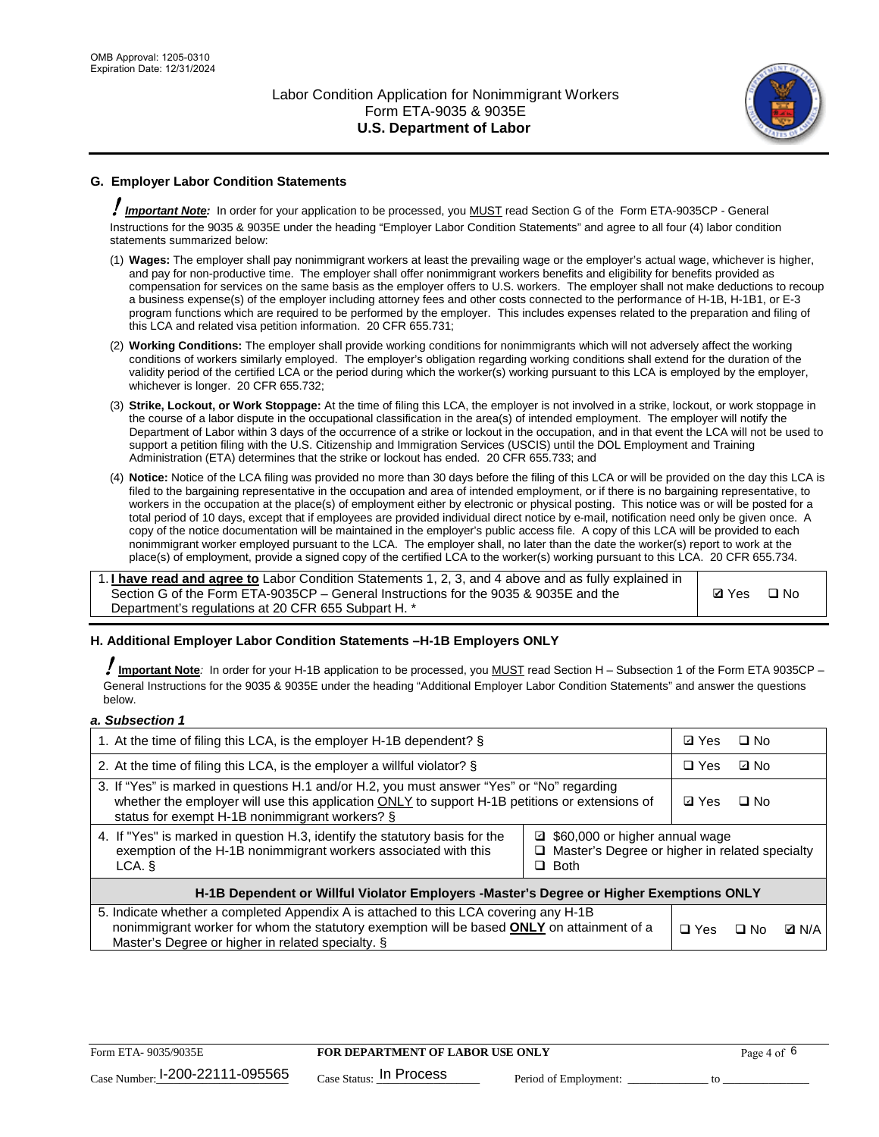

## **G. Employer Labor Condition Statements**

! *Important Note:* In order for your application to be processed, you MUST read Section G of the Form ETA-9035CP - General Instructions for the 9035 & 9035E under the heading "Employer Labor Condition Statements" and agree to all four (4) labor condition statements summarized below:

- (1) **Wages:** The employer shall pay nonimmigrant workers at least the prevailing wage or the employer's actual wage, whichever is higher, and pay for non-productive time. The employer shall offer nonimmigrant workers benefits and eligibility for benefits provided as compensation for services on the same basis as the employer offers to U.S. workers. The employer shall not make deductions to recoup a business expense(s) of the employer including attorney fees and other costs connected to the performance of H-1B, H-1B1, or E-3 program functions which are required to be performed by the employer. This includes expenses related to the preparation and filing of this LCA and related visa petition information. 20 CFR 655.731;
- (2) **Working Conditions:** The employer shall provide working conditions for nonimmigrants which will not adversely affect the working conditions of workers similarly employed. The employer's obligation regarding working conditions shall extend for the duration of the validity period of the certified LCA or the period during which the worker(s) working pursuant to this LCA is employed by the employer, whichever is longer. 20 CFR 655.732;
- (3) **Strike, Lockout, or Work Stoppage:** At the time of filing this LCA, the employer is not involved in a strike, lockout, or work stoppage in the course of a labor dispute in the occupational classification in the area(s) of intended employment. The employer will notify the Department of Labor within 3 days of the occurrence of a strike or lockout in the occupation, and in that event the LCA will not be used to support a petition filing with the U.S. Citizenship and Immigration Services (USCIS) until the DOL Employment and Training Administration (ETA) determines that the strike or lockout has ended. 20 CFR 655.733; and
- (4) **Notice:** Notice of the LCA filing was provided no more than 30 days before the filing of this LCA or will be provided on the day this LCA is filed to the bargaining representative in the occupation and area of intended employment, or if there is no bargaining representative, to workers in the occupation at the place(s) of employment either by electronic or physical posting. This notice was or will be posted for a total period of 10 days, except that if employees are provided individual direct notice by e-mail, notification need only be given once. A copy of the notice documentation will be maintained in the employer's public access file. A copy of this LCA will be provided to each nonimmigrant worker employed pursuant to the LCA. The employer shall, no later than the date the worker(s) report to work at the place(s) of employment, provide a signed copy of the certified LCA to the worker(s) working pursuant to this LCA. 20 CFR 655.734.

1. **I have read and agree to** Labor Condition Statements 1, 2, 3, and 4 above and as fully explained in Section G of the Form ETA-9035CP – General Instructions for the 9035 & 9035E and the Department's regulations at 20 CFR 655 Subpart H. \*

**Ø**Yes ロNo

### **H. Additional Employer Labor Condition Statements –H-1B Employers ONLY**

!**Important Note***:* In order for your H-1B application to be processed, you MUST read Section H – Subsection 1 of the Form ETA 9035CP – General Instructions for the 9035 & 9035E under the heading "Additional Employer Labor Condition Statements" and answer the questions below.

#### *a. Subsection 1*

| 1. At the time of filing this LCA, is the employer H-1B dependent? §                                                                                                                                                                           |                                                                                                     | ⊡ Yes      | $\square$ No |  |
|------------------------------------------------------------------------------------------------------------------------------------------------------------------------------------------------------------------------------------------------|-----------------------------------------------------------------------------------------------------|------------|--------------|--|
| 2. At the time of filing this LCA, is the employer a willful violator? $\S$                                                                                                                                                                    |                                                                                                     | $\Box$ Yes | ⊡ No         |  |
| 3. If "Yes" is marked in questions H.1 and/or H.2, you must answer "Yes" or "No" regarding<br>whether the employer will use this application ONLY to support H-1B petitions or extensions of<br>status for exempt H-1B nonimmigrant workers? § |                                                                                                     |            | $\Box$ No    |  |
| 4. If "Yes" is marked in question H.3, identify the statutory basis for the<br>exemption of the H-1B nonimmigrant workers associated with this<br>LCA. §                                                                                       | ■ \$60,000 or higher annual wage<br>□ Master's Degree or higher in related specialty<br>$\Box$ Both |            |              |  |
| H-1B Dependent or Willful Violator Employers -Master's Degree or Higher Exemptions ONLY                                                                                                                                                        |                                                                                                     |            |              |  |
| 5. Indicate whether a completed Appendix A is attached to this LCA covering any H-1B<br>nonimmigrant worker for whom the statutory exemption will be based <b>ONLY</b> on attainment of a<br>Master's Degree or higher in related specialty. § | $\Box$ Yes                                                                                          | ⊡ No       | <b>Q</b> N/A |  |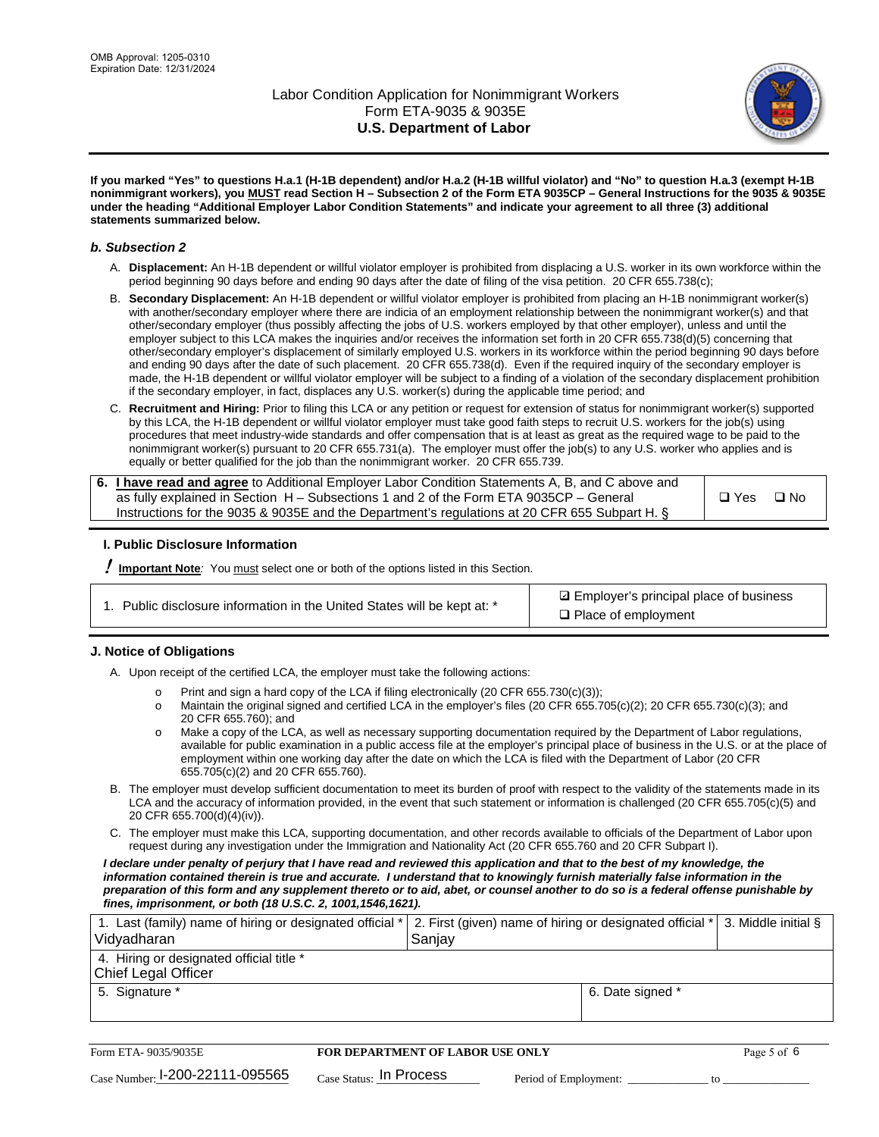

**If you marked "Yes" to questions H.a.1 (H-1B dependent) and/or H.a.2 (H-1B willful violator) and "No" to question H.a.3 (exempt H-1B nonimmigrant workers), you MUST read Section H – Subsection 2 of the Form ETA 9035CP – General Instructions for the 9035 & 9035E under the heading "Additional Employer Labor Condition Statements" and indicate your agreement to all three (3) additional statements summarized below.**

#### *b. Subsection 2*

- A. **Displacement:** An H-1B dependent or willful violator employer is prohibited from displacing a U.S. worker in its own workforce within the period beginning 90 days before and ending 90 days after the date of filing of the visa petition. 20 CFR 655.738(c);
- B. **Secondary Displacement:** An H-1B dependent or willful violator employer is prohibited from placing an H-1B nonimmigrant worker(s) with another/secondary employer where there are indicia of an employment relationship between the nonimmigrant worker(s) and that other/secondary employer (thus possibly affecting the jobs of U.S. workers employed by that other employer), unless and until the employer subject to this LCA makes the inquiries and/or receives the information set forth in 20 CFR 655.738(d)(5) concerning that other/secondary employer's displacement of similarly employed U.S. workers in its workforce within the period beginning 90 days before and ending 90 days after the date of such placement. 20 CFR 655.738(d). Even if the required inquiry of the secondary employer is made, the H-1B dependent or willful violator employer will be subject to a finding of a violation of the secondary displacement prohibition if the secondary employer, in fact, displaces any U.S. worker(s) during the applicable time period; and
- C. **Recruitment and Hiring:** Prior to filing this LCA or any petition or request for extension of status for nonimmigrant worker(s) supported by this LCA, the H-1B dependent or willful violator employer must take good faith steps to recruit U.S. workers for the job(s) using procedures that meet industry-wide standards and offer compensation that is at least as great as the required wage to be paid to the nonimmigrant worker(s) pursuant to 20 CFR 655.731(a). The employer must offer the job(s) to any U.S. worker who applies and is equally or better qualified for the job than the nonimmigrant worker. 20 CFR 655.739.

| 6. I have read and agree to Additional Employer Labor Condition Statements A, B, and C above and |       |           |
|--------------------------------------------------------------------------------------------------|-------|-----------|
| as fully explained in Section H – Subsections 1 and 2 of the Form ETA 9035CP – General           | □ Yes | $\Box$ No |
| Instructions for the 9035 & 9035E and the Department's regulations at 20 CFR 655 Subpart H. §    |       |           |

### **I. Public Disclosure Information**

! **Important Note***:* You must select one or both of the options listed in this Section.

|  | 1. Public disclosure information in the United States will be kept at: * |  |  |  |
|--|--------------------------------------------------------------------------|--|--|--|
|  |                                                                          |  |  |  |

**sqrt** Employer's principal place of business □ Place of employment

### **J. Notice of Obligations**

A. Upon receipt of the certified LCA, the employer must take the following actions:

- o Print and sign a hard copy of the LCA if filing electronically (20 CFR 655.730(c)(3));<br>
Maintain the original signed and certified LCA in the employer's files (20 CFR 655.7
- Maintain the original signed and certified LCA in the employer's files (20 CFR 655.705(c)(2); 20 CFR 655.730(c)(3); and 20 CFR 655.760); and
- o Make a copy of the LCA, as well as necessary supporting documentation required by the Department of Labor regulations, available for public examination in a public access file at the employer's principal place of business in the U.S. or at the place of employment within one working day after the date on which the LCA is filed with the Department of Labor (20 CFR 655.705(c)(2) and 20 CFR 655.760).
- B. The employer must develop sufficient documentation to meet its burden of proof with respect to the validity of the statements made in its LCA and the accuracy of information provided, in the event that such statement or information is challenged (20 CFR 655.705(c)(5) and 20 CFR 655.700(d)(4)(iv)).
- C. The employer must make this LCA, supporting documentation, and other records available to officials of the Department of Labor upon request during any investigation under the Immigration and Nationality Act (20 CFR 655.760 and 20 CFR Subpart I).

*I declare under penalty of perjury that I have read and reviewed this application and that to the best of my knowledge, the*  information contained therein is true and accurate. I understand that to knowingly furnish materially false information in the *preparation of this form and any supplement thereto or to aid, abet, or counsel another to do so is a federal offense punishable by fines, imprisonment, or both (18 U.S.C. 2, 1001,1546,1621).*

| 1. Last (family) name of hiring or designated official *   2. First (given) name of hiring or designated official *   3. Middle initial §<br>Vidyadharan | Saniav           |  |
|----------------------------------------------------------------------------------------------------------------------------------------------------------|------------------|--|
| 4. Hiring or designated official title *<br>Chief Legal Officer                                                                                          |                  |  |
| 5. Signature *                                                                                                                                           | 6. Date signed * |  |

| Form ETA-9035/9035E                         | FOR DEPARTMENT OF LABOR USE ONLY   | Page 5 of 6           |  |
|---------------------------------------------|------------------------------------|-----------------------|--|
| $_{\text{Case Number:}}$ I-200-22111-095565 | $_{\rm Case~S status:}$ In Process | Period of Employment: |  |